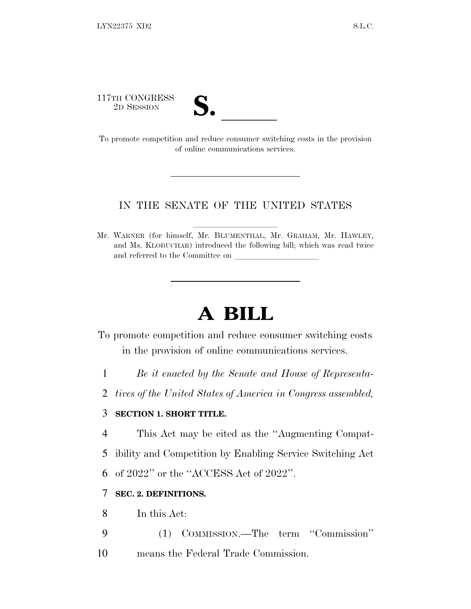117TH CONGRESS



<sup>117TH</sup> CONGRESS<br>
<sup>2D SESSION</sup><br> **S.** <u>Competition</u> and reduce consumer switching costs in the provision of online communications services.

## IN THE SENATE OF THE UNITED STATES

Mr. WARNER (for himself, Mr. BLUMENTHAL, Mr. GRAHAM, Mr. HAWLEY, and Ms. KLOBUCHAR) introduced the following bill; which was read twice and referred to the Committee on

# **A BILL**

To promote competition and reduce consumer switching costs in the provision of online communications services.

- 1 *Be it enacted by the Senate and House of Representa-*
- 2 *tives of the United States of America in Congress assembled,*

## 3 **SECTION 1. SHORT TITLE.**

- 4 This Act may be cited as the ''Augmenting Compat-
- 5 ibility and Competition by Enabling Service Switching Act

6 of 2022'' or the ''ACCESS Act of 2022''.

# 7 **SEC. 2. DEFINITIONS.**

- 8 In this Act:
- 9 (1) COMMISSION.—The term ''Commission''
- 10 means the Federal Trade Commission.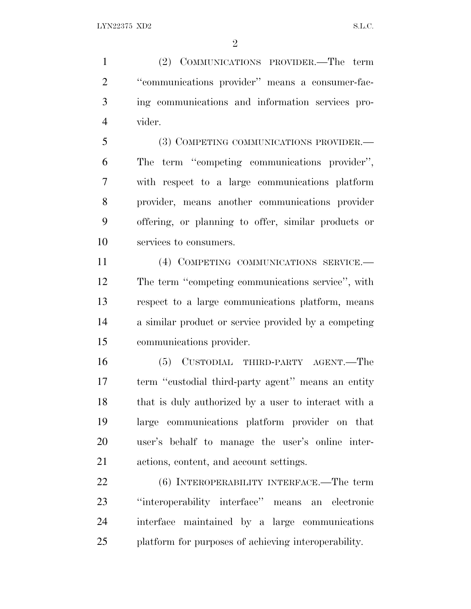(2) COMMUNICATIONS PROVIDER.—The term ''communications provider'' means a consumer-fac- ing communications and information services pro-vider.

 (3) COMPETING COMMUNICATIONS PROVIDER.— The term ''competing communications provider'', with respect to a large communications platform provider, means another communications provider offering, or planning to offer, similar products or services to consumers.

 (4) COMPETING COMMUNICATIONS SERVICE.— The term ''competing communications service'', with respect to a large communications platform, means a similar product or service provided by a competing communications provider.

 (5) CUSTODIAL THIRD-PARTY AGENT.—The term ''custodial third-party agent'' means an entity that is duly authorized by a user to interact with a large communications platform provider on that user's behalf to manage the user's online inter-actions, content, and account settings.

22 (6) INTEROPERABILITY INTERFACE.—The term ''interoperability interface'' means an electronic interface maintained by a large communications platform for purposes of achieving interoperability.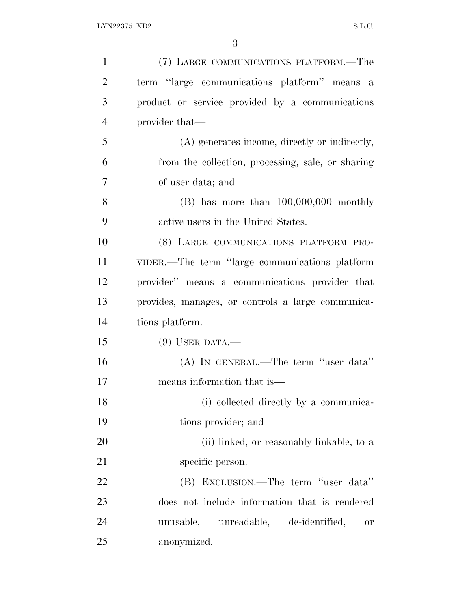| $\mathbf{1}$   | (7) LARGE COMMUNICATIONS PLATFORM.—The            |
|----------------|---------------------------------------------------|
| $\overline{2}$ | term "large communications platform" means a      |
| 3              | product or service provided by a communications   |
| $\overline{4}$ | provider that—                                    |
| 5              | (A) generates income, directly or indirectly,     |
| 6              | from the collection, processing, sale, or sharing |
| $\overline{7}$ | of user data; and                                 |
| 8              | $(B)$ has more than $100,000,000$ monthly         |
| 9              | active users in the United States.                |
| 10             | (8) LARGE COMMUNICATIONS PLATFORM PRO-            |
| 11             | VIDER.—The term "large communications platform    |
| 12             | provider" means a communications provider that    |
| 13             | provides, manages, or controls a large communica- |
| 14             | tions platform.                                   |
| 15             | $(9)$ USER DATA.—                                 |
| 16             | (A) IN GENERAL.—The term "user data"              |
| 17             | means information that is—                        |
| 18             | (i) collected directly by a communica-            |
| 19             | tions provider; and                               |
| 20             | (ii) linked, or reasonably linkable, to a         |
| 21             | specific person.                                  |
| 22             | (B) EXCLUSION.—The term "user data"               |
| 23             | does not include information that is rendered     |
| 24             | unreadable, de-identified,<br>unusable,<br>0r     |
| 25             | anonymized.                                       |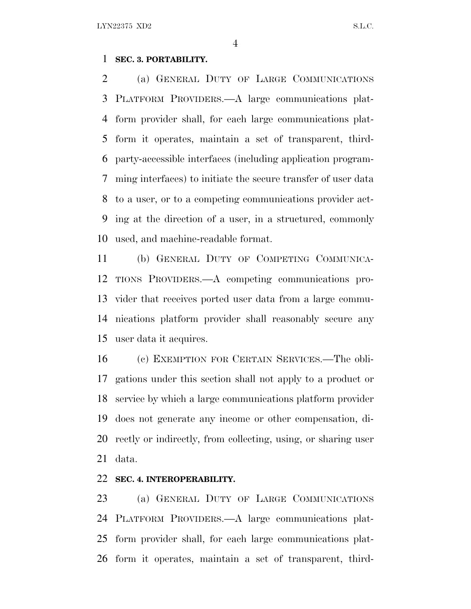### **SEC. 3. PORTABILITY.**

 (a) GENERAL DUTY OF LARGE COMMUNICATIONS PLATFORM PROVIDERS.—A large communications plat- form provider shall, for each large communications plat- form it operates, maintain a set of transparent, third- party-accessible interfaces (including application program- ming interfaces) to initiate the secure transfer of user data to a user, or to a competing communications provider act- ing at the direction of a user, in a structured, commonly used, and machine-readable format.

 (b) GENERAL DUTY OF COMPETING COMMUNICA- TIONS PROVIDERS.—A competing communications pro- vider that receives ported user data from a large commu- nications platform provider shall reasonably secure any user data it acquires.

 (c) EXEMPTION FOR CERTAIN SERVICES.—The obli- gations under this section shall not apply to a product or service by which a large communications platform provider does not generate any income or other compensation, di- rectly or indirectly, from collecting, using, or sharing user data.

### **SEC. 4. INTEROPERABILITY.**

 (a) GENERAL DUTY OF LARGE COMMUNICATIONS PLATFORM PROVIDERS.—A large communications plat- form provider shall, for each large communications plat-form it operates, maintain a set of transparent, third-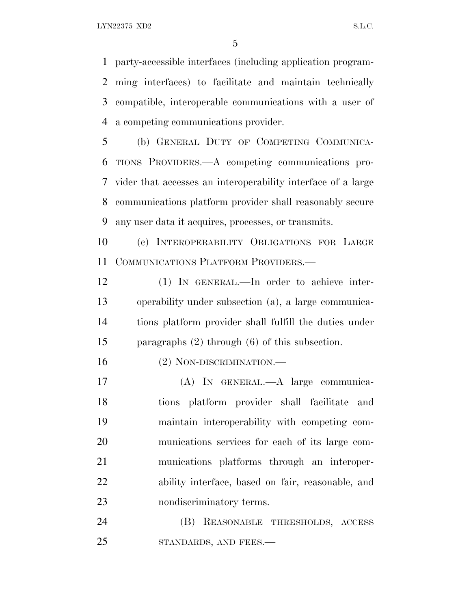party-accessible interfaces (including application program- ming interfaces) to facilitate and maintain technically compatible, interoperable communications with a user of a competing communications provider.

 (b) GENERAL DUTY OF COMPETING COMMUNICA- TIONS PROVIDERS.—A competing communications pro- vider that accesses an interoperability interface of a large communications platform provider shall reasonably secure any user data it acquires, processes, or transmits.

 (c) INTEROPERABILITY OBLIGATIONS FOR LARGE COMMUNICATIONS PLATFORM PROVIDERS.—

 (1) IN GENERAL.—In order to achieve inter- operability under subsection (a), a large communica- tions platform provider shall fulfill the duties under paragraphs (2) through (6) of this subsection.

(2) NON-DISCRIMINATION.—

 (A) IN GENERAL.—A large communica- tions platform provider shall facilitate and maintain interoperability with competing com- munications services for each of its large com- munications platforms through an interoper- ability interface, based on fair, reasonable, and nondiscriminatory terms.

 (B) REASONABLE THRESHOLDS, ACCESS 25 STANDARDS, AND FEES.—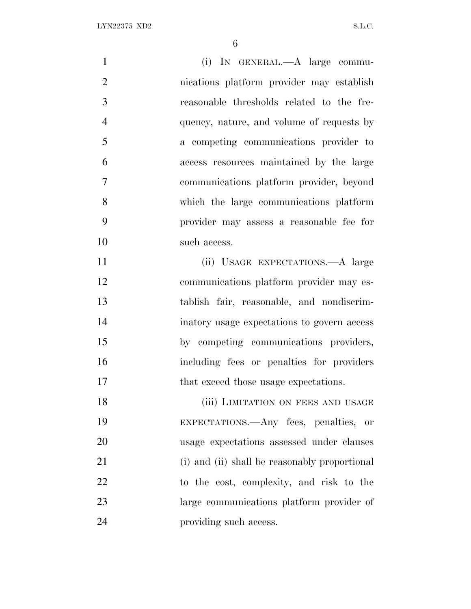| $\mathbf{1}$   | (i) IN GENERAL.—A large commu-                |
|----------------|-----------------------------------------------|
| $\overline{2}$ | nications platform provider may establish     |
| 3              | reasonable thresholds related to the fre-     |
| $\overline{4}$ | quency, nature, and volume of requests by     |
| 5              | a competing communications provider to        |
| 6              | access resources maintained by the large      |
| 7              | communications platform provider, beyond      |
| 8              | which the large communications platform       |
| 9              | provider may assess a reasonable fee for      |
| 10             | such access.                                  |
| 11             | (ii) USAGE EXPECTATIONS.—A large              |
| 12             | communications platform provider may es-      |
| 13             | tablish fair, reasonable, and nondiscrim-     |
| 14             | inatory usage expectations to govern access   |
| 15             | by competing communications providers,        |
| 16             | including fees or penalties for providers     |
| 17             | that exceed those usage expectations.         |
| 18             | (iii) LIMITATION ON FEES AND USAGE            |
| 19             | EXPECTATIONS.—Any fees, penalties, or         |
| 20             | usage expectations assessed under clauses     |
| 21             | (i) and (ii) shall be reasonably proportional |
| 22             | to the cost, complexity, and risk to the      |
| 23             | large communications platform provider of     |
| 24             | providing such access.                        |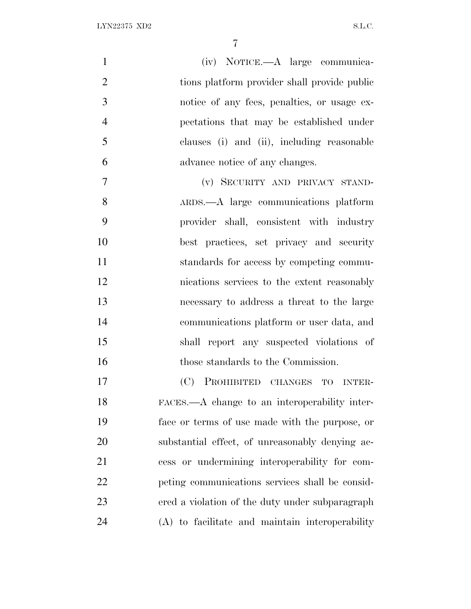| 1              | (iv) NOTICE.- A large communica-                 |
|----------------|--------------------------------------------------|
| $\overline{2}$ | tions platform provider shall provide public     |
| 3              | notice of any fees, penalties, or usage ex-      |
| $\overline{4}$ | pectations that may be established under         |
| 5              | clauses (i) and (ii), including reasonable       |
| 6              | advance notice of any changes.                   |
| 7              | (v) SECURITY AND PRIVACY STAND-                  |
| 8              | ARDS.—A large communications platform            |
| 9              | provider shall, consistent with industry         |
| 10             | best practices, set privacy and security         |
| 11             | standards for access by competing commu-         |
| 12             | nications services to the extent reasonably      |
| 13             | necessary to address a threat to the large       |
| 14             | communications platform or user data, and        |
| 15             | shall report any suspected violations of         |
| 16             | those standards to the Commission.               |
| 17             | (C)<br>PROHIBITED CHANGES<br>TO<br><b>INTER-</b> |
| 18             | FACES.—A change to an interoperability inter-    |
| 19             | face or terms of use made with the purpose, or   |
| 20             | substantial effect, of unreasonably denying ac-  |
| 21             | cess or undermining interoperability for com-    |
| 22             | peting communications services shall be consid-  |
| 23             | ered a violation of the duty under subparagraph  |
| 24             | (A) to facilitate and maintain interoperability  |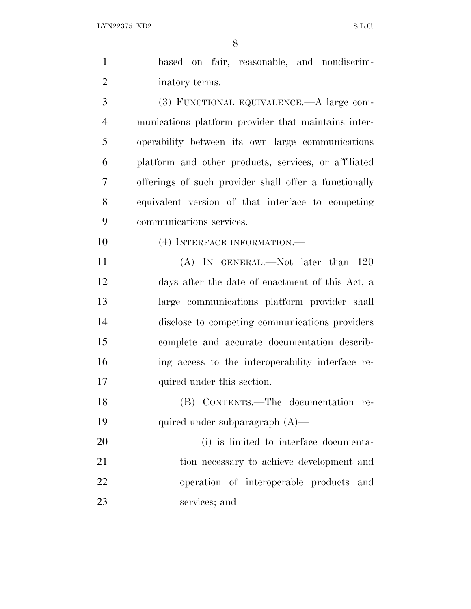| $\mathbf{1}$   | based on fair, reasonable, and nondiscrim-            |
|----------------|-------------------------------------------------------|
| $\overline{2}$ | inatory terms.                                        |
| 3              | (3) FUNCTIONAL EQUIVALENCE.—A large com-              |
| $\overline{4}$ | munications platform provider that maintains inter-   |
| 5              | operability between its own large communications      |
| 6              | platform and other products, services, or affiliated  |
| 7              | offerings of such provider shall offer a functionally |
| 8              | equivalent version of that interface to competing     |
| 9              | communications services.                              |
| 10             | (4) INTERFACE INFORMATION.—                           |
| 11             | (A) IN GENERAL.—Not later than 120                    |
| 12             | days after the date of enactment of this Act, a       |
| 13             | large communications platform provider shall          |
| 14             | disclose to competing communications providers        |
| 15             | complete and accurate documentation describ-          |
| 16             | ing access to the interoperability interface re-      |
| 17             | quired under this section.                            |
| 18             | (B) CONTENTS.—The documentation re-                   |
| 19             | quired under subparagraph $(A)$ —                     |
| 20             | (i) is limited to interface documenta-                |
| 21             | tion necessary to achieve development and             |
| 22             | operation of interoperable products and               |
| 23             | services; and                                         |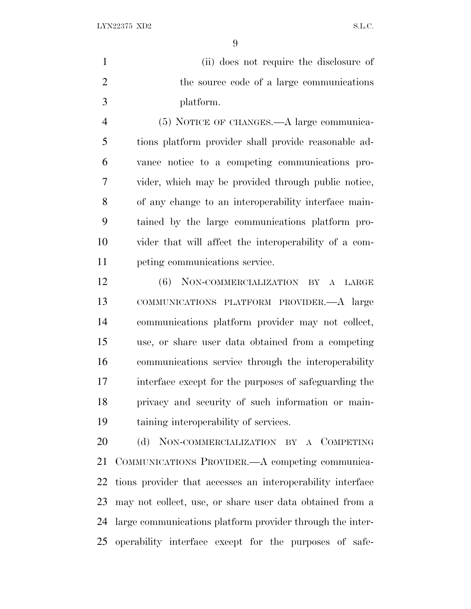(ii) does not require the disclosure of 2 the source code of a large communications platform.

 (5) NOTICE OF CHANGES.—A large communica- tions platform provider shall provide reasonable ad- vance notice to a competing communications pro- vider, which may be provided through public notice, of any change to an interoperability interface main- tained by the large communications platform pro- vider that will affect the interoperability of a com-peting communications service.

 (6) NON-COMMERCIALIZATION BY A LARGE COMMUNICATIONS PLATFORM PROVIDER.—A large communications platform provider may not collect, use, or share user data obtained from a competing communications service through the interoperability interface except for the purposes of safeguarding the privacy and security of such information or main-taining interoperability of services.

20 (d) NON-COMMERCIALIZATION BY A COMPETING COMMUNICATIONS PROVIDER.—A competing communica- tions provider that accesses an interoperability interface may not collect, use, or share user data obtained from a large communications platform provider through the inter-operability interface except for the purposes of safe-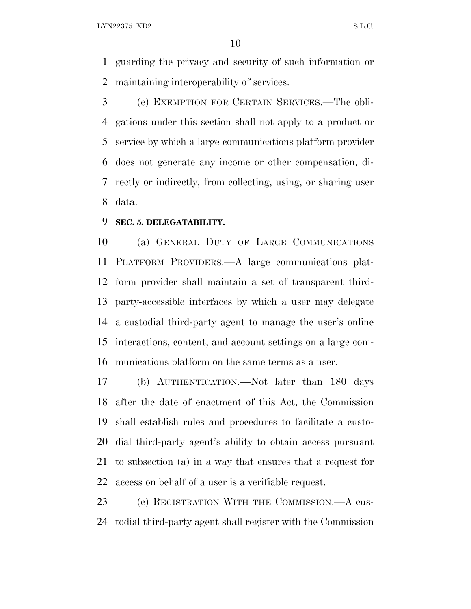guarding the privacy and security of such information or maintaining interoperability of services.

 (e) EXEMPTION FOR CERTAIN SERVICES.—The obli- gations under this section shall not apply to a product or service by which a large communications platform provider does not generate any income or other compensation, di- rectly or indirectly, from collecting, using, or sharing user data.

#### **SEC. 5. DELEGATABILITY.**

 (a) GENERAL DUTY OF LARGE COMMUNICATIONS PLATFORM PROVIDERS.—A large communications plat- form provider shall maintain a set of transparent third- party-accessible interfaces by which a user may delegate a custodial third-party agent to manage the user's online interactions, content, and account settings on a large com-munications platform on the same terms as a user.

 (b) AUTHENTICATION.—Not later than 180 days after the date of enactment of this Act, the Commission shall establish rules and procedures to facilitate a custo- dial third-party agent's ability to obtain access pursuant to subsection (a) in a way that ensures that a request for access on behalf of a user is a verifiable request.

23 (c) REGISTRATION WITH THE COMMISSION.—A cus-todial third-party agent shall register with the Commission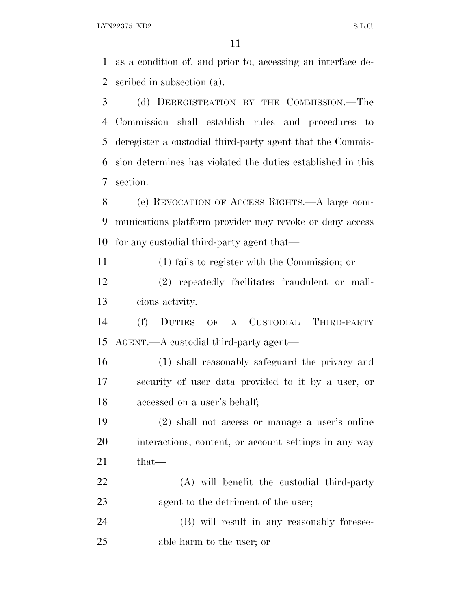as a condition of, and prior to, accessing an interface de-scribed in subsection (a).

 (d) DEREGISTRATION BY THE COMMISSION.—The Commission shall establish rules and procedures to deregister a custodial third-party agent that the Commis- sion determines has violated the duties established in this section.

 (e) REVOCATION OF ACCESS RIGHTS.—A large com- munications platform provider may revoke or deny access for any custodial third-party agent that—

(1) fails to register with the Commission; or

 (2) repeatedly facilitates fraudulent or mali-cious activity.

 (f) DUTIES OF A CUSTODIAL THIRD-PARTY AGENT.—A custodial third-party agent—

 (1) shall reasonably safeguard the privacy and security of user data provided to it by a user, or accessed on a user's behalf;

 (2) shall not access or manage a user's online interactions, content, or account settings in any way that—

 (A) will benefit the custodial third-party 23 agent to the detriment of the user;

 (B) will result in any reasonably foresee-able harm to the user; or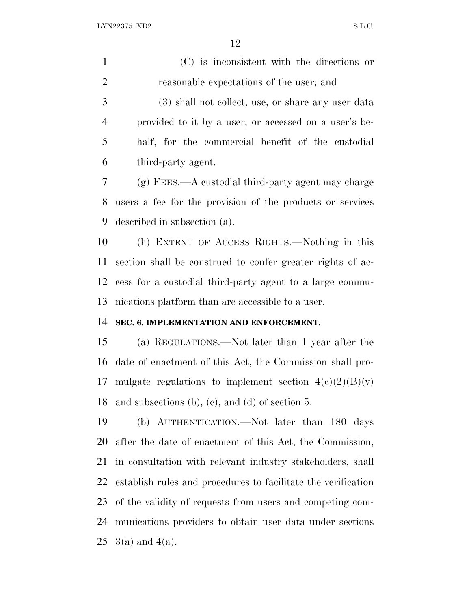(C) is inconsistent with the directions or reasonable expectations of the user; and

 (3) shall not collect, use, or share any user data provided to it by a user, or accessed on a user's be- half, for the commercial benefit of the custodial third-party agent.

 (g) FEES.—A custodial third-party agent may charge users a fee for the provision of the products or services described in subsection (a).

 (h) EXTENT OF ACCESS RIGHTS.—Nothing in this section shall be construed to confer greater rights of ac- cess for a custodial third-party agent to a large commu-nications platform than are accessible to a user.

#### **SEC. 6. IMPLEMENTATION AND ENFORCEMENT.**

 (a) REGULATIONS.—Not later than 1 year after the date of enactment of this Act, the Commission shall pro-17 mulgate regulations to implement section  $4(c)(2)(B)(v)$ and subsections (b), (c), and (d) of section 5.

 (b) AUTHENTICATION.—Not later than 180 days after the date of enactment of this Act, the Commission, in consultation with relevant industry stakeholders, shall establish rules and procedures to facilitate the verification of the validity of requests from users and competing com- munications providers to obtain user data under sections  $3(a)$  and  $4(a)$ .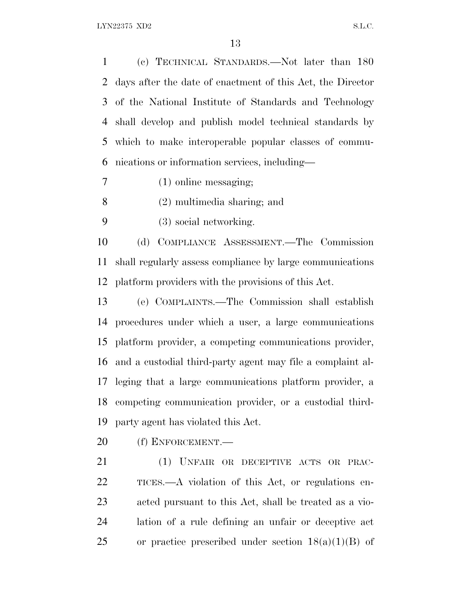(c) TECHNICAL STANDARDS.—Not later than 180 days after the date of enactment of this Act, the Director of the National Institute of Standards and Technology shall develop and publish model technical standards by which to make interoperable popular classes of commu-nications or information services, including—

- (1) online messaging;
- (2) multimedia sharing; and
- (3) social networking.

 (d) COMPLIANCE ASSESSMENT.—The Commission shall regularly assess compliance by large communications platform providers with the provisions of this Act.

 (e) COMPLAINTS.—The Commission shall establish procedures under which a user, a large communications platform provider, a competing communications provider, and a custodial third-party agent may file a complaint al- leging that a large communications platform provider, a competing communication provider, or a custodial third-party agent has violated this Act.

(f) ENFORCEMENT.—

 (1) UNFAIR OR DECEPTIVE ACTS OR PRAC- TICES.—A violation of this Act, or regulations en- acted pursuant to this Act, shall be treated as a vio- lation of a rule defining an unfair or deceptive act 25 or practice prescribed under section  $18(a)(1)(B)$  of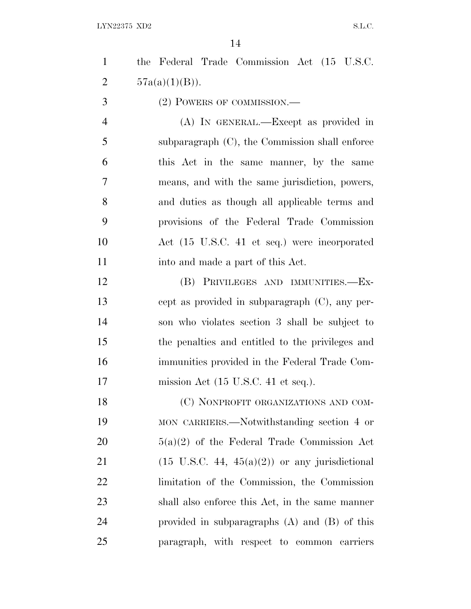| $\mathbf{1}$   | the Federal Trade Commission Act (15 U.S.C.               |
|----------------|-----------------------------------------------------------|
| $\overline{2}$ | $57a(a)(1)(B)$ ).                                         |
| 3              | (2) POWERS OF COMMISSION.—                                |
| $\overline{4}$ | (A) IN GENERAL.—Except as provided in                     |
| 5              | subparagraph $(C)$ , the Commission shall enforce         |
| 6              | this Act in the same manner, by the same                  |
| 7              | means, and with the same jurisdiction, powers,            |
| 8              | and duties as though all applicable terms and             |
| 9              | provisions of the Federal Trade Commission                |
| 10             | Act (15 U.S.C. 41 et seq.) were incorporated              |
| 11             | into and made a part of this Act.                         |
| 12             | (B) PRIVILEGES AND IMMUNITIES.-Ex-                        |
| 13             | cept as provided in subparagraph (C), any per-            |
| 14             | son who violates section 3 shall be subject to            |
| 15             | the penalties and entitled to the privileges and          |
| 16             | immunities provided in the Federal Trade Com-             |
| 17             | mission Act $(15 \text{ U.S.C. } 41 \text{ et seq.}).$    |
| 18             | (C) NONPROFIT ORGANIZATIONS AND COM-                      |
| 19             | MON CARRIERS.—Notwithstanding section 4 or                |
| 20             | $5(a)(2)$ of the Federal Trade Commission Act             |
| 21             | $(15 \text{ U.S.C. } 44, 45(a)(2))$ or any jurisdictional |
| 22             | limitation of the Commission, the Commission              |
| 23             | shall also enforce this Act, in the same manner           |
| 24             | provided in subparagraphs $(A)$ and $(B)$ of this         |
| 25             | paragraph, with respect to common carriers                |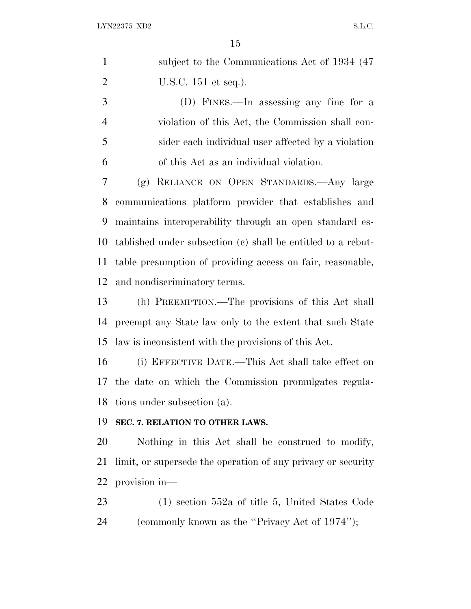| $\mathbf{1}$   | subject to the Communications Act of 1934 (47)               |
|----------------|--------------------------------------------------------------|
| $\overline{2}$ | U.S.C. $151$ et seq.).                                       |
| 3              | (D) FINES.—In assessing any fine for a                       |
| $\overline{4}$ | violation of this Act, the Commission shall con-             |
| 5              | sider each individual user affected by a violation           |
| 6              | of this Act as an individual violation.                      |
| 7              | (g) RELIANCE ON OPEN STANDARDS.—Any large                    |
| 8              | communications platform provider that establishes and        |
| 9              | maintains interoperability through an open standard es-      |
| 10             | tablished under subsection (c) shall be entitled to a rebut- |
| 11             | table presumption of providing access on fair, reasonable,   |
| 12             | and nondiscriminatory terms.                                 |
| 13             | (h) PREEMPTION.—The provisions of this Act shall             |
| 14             | preempt any State law only to the extent that such State     |
| 15             | law is inconsistent with the provisions of this Act.         |
| 16             | (i) EFFECTIVE DATE.—This Act shall take effect on            |
| 17             | the date on which the Commission promulgates regula-         |
| 18             | tions under subsection (a).                                  |
| 19             | SEC. 7. RELATION TO OTHER LAWS.                              |
| 20             | Nothing in this Act shall be construed to modify,            |
| 21             | limit, or supersede the operation of any privacy or security |
| 22             | provision in-                                                |
| 23             | $(1)$ section 552a of title 5, United States Code            |
| 24             | (commonly known as the "Privacy Act of 1974");               |
|                |                                                              |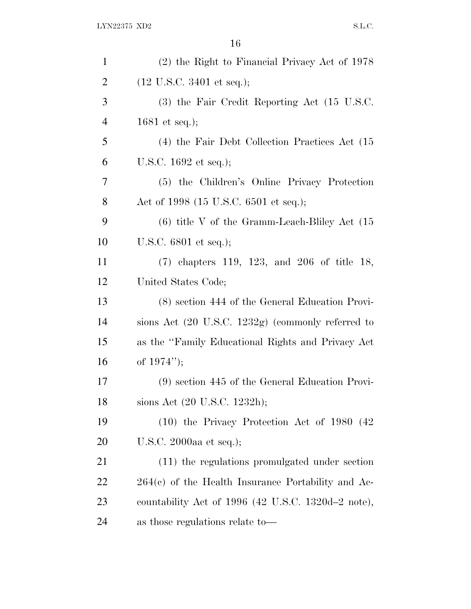| $\mathbf{1}$   | (2) the Right to Financial Privacy Act of 1978       |
|----------------|------------------------------------------------------|
| $\overline{2}$ | $(12 \text{ U.S.C. } 3401 \text{ et seq.});$         |
| 3              | (3) the Fair Credit Reporting Act (15 U.S.C.         |
| $\overline{4}$ | 1681 et seq.);                                       |
| 5              | (4) the Fair Debt Collection Practices Act (15)      |
| 6              | U.S.C. $1692$ et seq.);                              |
| 7              | (5) the Children's Online Privacy Protection         |
| 8              | Act of 1998 (15 U.S.C. 6501 et seq.);                |
| 9              | $(6)$ title V of the Gramm-Leach-Bliley Act $(15)$   |
| 10             | U.S.C. $6801$ et seq.);                              |
| 11             | $(7)$ chapters 119, 123, and 206 of title 18,        |
| 12             | United States Code;                                  |
| 13             | (8) section 444 of the General Education Provi-      |
| 14             | sions Act (20 U.S.C. 1232g) (commonly referred to    |
| 15             | as the "Family Educational Rights and Privacy Act    |
| 16             | of $1974$ ");                                        |
| 17             | $(9)$ section 445 of the General Education Provi-    |
| 18             | sions Act (20 U.S.C. 1232h);                         |
| 19             | $(10)$ the Privacy Protection Act of 1980 $(42)$     |
| 20             | U.S.C. 2000aa et seq.);                              |
| 21             | (11) the regulations promulgated under section       |
| 22             | $264(c)$ of the Health Insurance Portability and Ac- |
| 23             | countability Act of 1996 (42 U.S.C. 1320d–2 note),   |
| 24             | as those regulations relate to—                      |